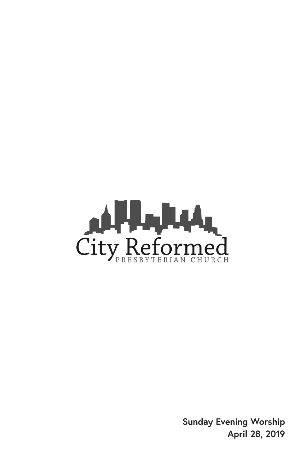

**Sunday Evening Worship April 28, 2019**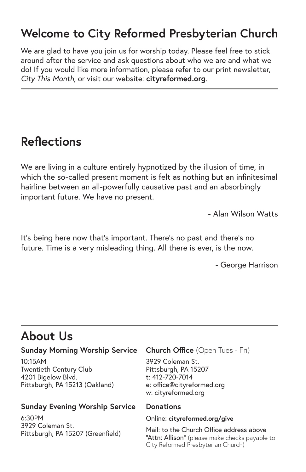## **Welcome to City Reformed Presbyterian Church**

We are glad to have you join us for worship today. Please feel free to stick around after the service and ask questions about who we are and what we do! If you would like more information, please refer to our print newsletter, *City This Month,* or visit our website: **cityreformed.org**.

#### **Reflections**

We are living in a culture entirely hypnotized by the illusion of time, in which the so-called present moment is felt as nothing but an infinitesimal hairline between an all-powerfully causative past and an absorbingly important future. We have no present.

- Alan Wilson Watts

It's being here now that's important. There's no past and there's no future. Time is a very misleading thing. All there is ever, is the now.

- George Harrison

## **About Us**

#### **Sunday Morning Worship Service**

10:15AM Twentieth Century Club 4201 Bigelow Blvd. Pittsburgh, PA 15213 (Oakland)

#### **Sunday Evening Worship Service**

6:30PM 3929 Coleman St. Pittsburgh, PA 15207 (Greenfield) **Church Office** (Open Tues - Fri)

3929 Coleman St. Pittsburgh, PA 15207 t: 412-720-7014 e: office@cityreformed.org w: cityreformed.org

#### **Donations**

#### Online: **cityreformed.org/give**

Mail: to the Church Office address above "Attn: Allison" (please make checks payable to City Reformed Presbyterian Church)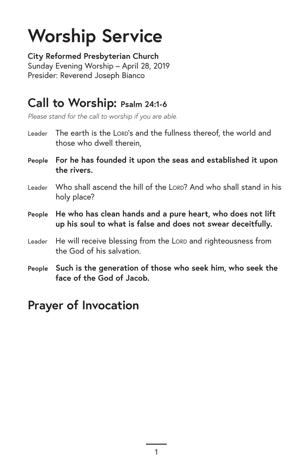# **Worship Service**

**City Reformed Presbyterian Church** Sunday Evening Worship – April 28, 2019 Presider: Reverend Joseph Bianco

#### **Call to Worship: Psalm 24:1-6**

*Please stand for the call to worship if you are able.*

- Leader The earth is the Lorp's and the fullness thereof, the world and those who dwell therein,
- **People For he has founded it upon the seas and established it upon the rivers.**
- Leader Who shall ascend the hill of the LORD? And who shall stand in his holy place?
- **People He who has clean hands and a pure heart, who does not lift up his soul to what is false and does not swear deceitfully.**
- Leader He will receive blessing from the Lorp and righteousness from the God of his salvation.
- **People Such is the generation of those who seek him, who seek the face of the God of Jacob.**

# **Prayer of Invocation**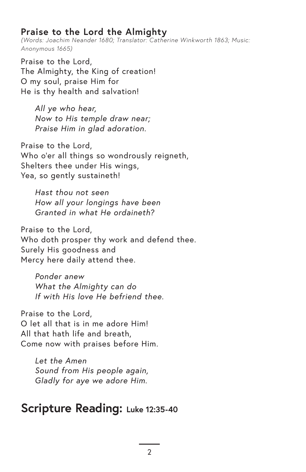#### **Praise to the Lord the Almighty**

*(Words: Joachim Neander 1680; Translator: Catherine Winkworth 1863; Music: Anonymous 1665)*

Praise to the Lord, The Almighty, the King of creation! O my soul, praise Him for He is thy health and salvation!

> *All ye who hear, Now to His temple draw near; Praise Him in glad adoration.*

Praise to the Lord, Who o'er all things so wondrously reigneth, Shelters thee under His wings, Yea, so gently sustaineth!

*Hast thou not seen How all your longings have been Granted in what He ordaineth?*

Praise to the Lord, Who doth prosper thy work and defend thee. Surely His goodness and Mercy here daily attend thee.

*Ponder anew What the Almighty can do If with His love He befriend thee.*

Praise to the Lord, O let all that is in me adore Him! All that hath life and breath, Come now with praises before Him.

> *Let the Amen Sound from His people again, Gladly for aye we adore Him.*

#### **Scripture Reading: Luke 12:35-40**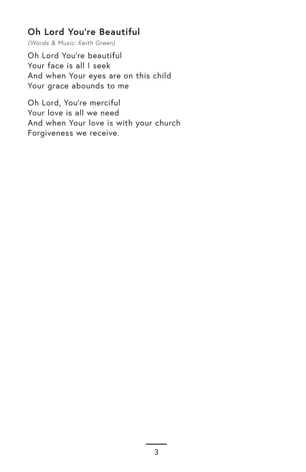#### **Oh Lord You're Beautiful**

*(Words & Music: Keith Green)*

Oh Lord You're beautiful Your face is all I seek And when Your eyes are on this child Your grace abounds to me

Oh Lord, You're merciful Your love is all we need And when Your love is with your church Forgiveness we receive.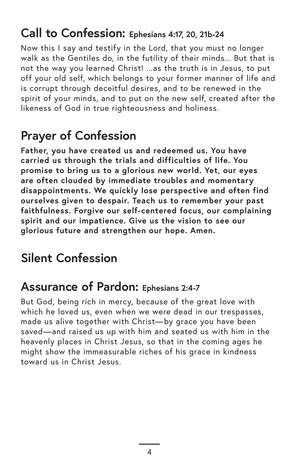## **Call to Confession: Ephesians 4:17, 20, 21b-24**

Now this I say and testify in the Lord, that you must no longer walk as the Gentiles do, in the futility of their minds... But that is not the way you learned Christ! ...as the truth is in Jesus, to put off your old self, which belongs to your former manner of life and is corrupt through deceitful desires, and to be renewed in the spirit of your minds, and to put on the new self, created after the likeness of God in true righteousness and holiness.

# **Prayer of Confession**

**Father, you have created us and redeemed us. You have carried us through the trials and difficulties of life. You promise to bring us to a glorious new world. Yet, our eyes are often clouded by immediate troubles and momentary disappointments. We quickly lose perspective and often find ourselves given to despair. Teach us to remember your past faithfulness. Forgive our self-centered focus, our complaining spirit and our impatience. Give us the vision to see our glorious future and strengthen our hope. Amen.**

# **Silent Confession**

#### **Assurance of Pardon: Ephesians 2:4-7**

But God, being rich in mercy, because of the great love with which he loved us, even when we were dead in our trespasses, made us alive together with Christ—by grace you have been saved—and raised us up with him and seated us with him in the heavenly places in Christ Jesus, so that in the coming ages he might show the immeasurable riches of his grace in kindness toward us in Christ Jesus.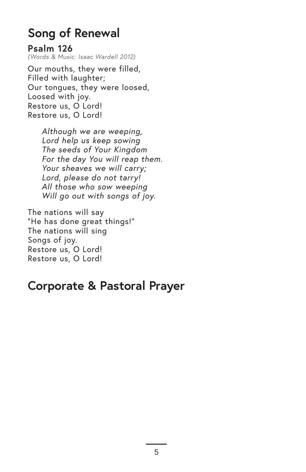# **Song of Renewal**

**Psalm 126**  *(Words & Music: Isaac Wardell 2012)*

Our mouths, they were filled, Filled with laughter; Our tongues, they were loosed, Loosed with joy. Restore us, O Lord! Restore us, O Lord!

> *Although we are weeping, Lord help us keep sowing The seeds of Your Kingdom For the day You will reap them. Your sheaves we will carry; Lord, please do not tarry! All those who sow weeping Will go out with songs of joy.*

The nations will say "He has done great things!" The nations will sing Songs of joy. Restore us, O Lord! Restore us, O Lord!

## **Corporate & Pastoral Prayer**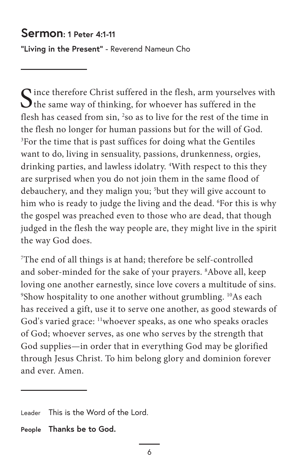#### **Sermon: 1 Peter 4:1-11**

**"Living in the Present"** - Reverend Nameun Cho

 $\bigcap$  ince therefore Christ suffered in the flesh, arm yourselves with  $\bigcup$  the same way of thinking, for whoever has suffered in the flesh has ceased from sin, <sup>2</sup>so as to live for the rest of the time in the flesh no longer for human passions but for the will of God. 3 For the time that is past suffices for doing what the Gentiles want to do, living in sensuality, passions, drunkenness, orgies, drinking parties, and lawless idolatry. 4 With respect to this they are surprised when you do not join them in the same flood of debauchery, and they malign you; 5 but they will give account to him who is ready to judge the living and the dead. 6 For this is why the gospel was preached even to those who are dead, that though judged in the flesh the way people are, they might live in the spirit the way God does.

7 The end of all things is at hand; therefore be self-controlled and sober-minded for the sake of your prayers. 8 Above all, keep loving one another earnestly, since love covers a multitude of sins. 9 Show hospitality to one another without grumbling. 10As each has received a gift, use it to serve one another, as good stewards of God's varied grace: 11whoever speaks, as one who speaks oracles of God; whoever serves, as one who serves by the strength that God supplies—in order that in everything God may be glorified through Jesus Christ. To him belong glory and dominion forever and ever. Amen.

Leader This is the Word of the Lord.

**People Thanks be to God.**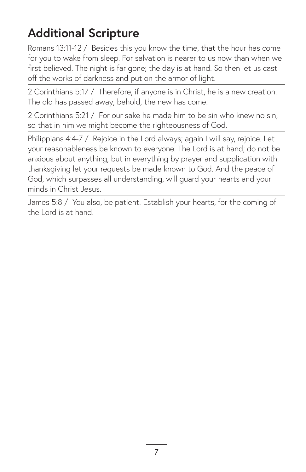# **Additional Scripture**

Romans 13:11-12 / Besides this you know the time, that the hour has come for you to wake from sleep. For salvation is nearer to us now than when we first believed. The night is far gone; the day is at hand. So then let us cast off the works of darkness and put on the armor of light.

2 Corinthians 5:17 / Therefore, if anyone is in Christ, he is a new creation. The old has passed away; behold, the new has come.

2 Corinthians 5:21 / For our sake he made him to be sin who knew no sin, so that in him we might become the righteousness of God.

Philippians 4:4-7 / Rejoice in the Lord always; again I will say, rejoice. Let your reasonableness be known to everyone. The Lord is at hand; do not be anxious about anything, but in everything by prayer and supplication with thanksgiving let your requests be made known to God. And the peace of God, which surpasses all understanding, will guard your hearts and your minds in Christ Jesus.

James 5:8 / You also, be patient. Establish your hearts, for the coming of the Lord is at hand.